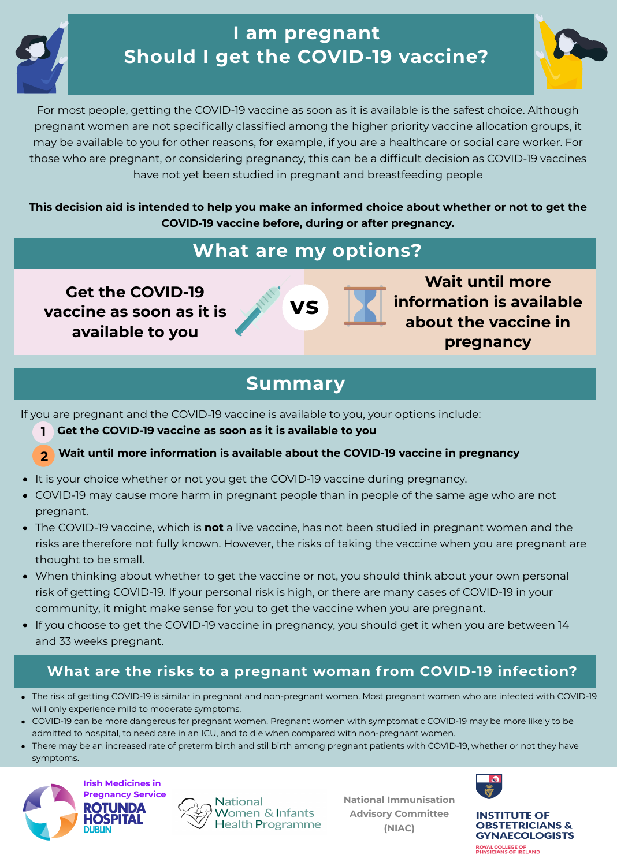# **I am pregnant Should I get the COVID-19 vaccine?**

**Get the COVID-19**

## **vaccine as soon as it is available to you**



**Wait until more information is available**

# **about the vaccine in pregnancy**

# **What are my options?**

This decision aid is intended to help you make an informed choice about whether or not to get the **COVID-19 vaccine before, during or after pregnancy.**

For most people, getting the COVID-19 vaccine as soon as it is available is the safest choice. Although pregnant women are not specifically classified among the higher priority vaccine allocation groups, it may be available to you for other reasons, for example, if you are a healthcare or social care worker. For those who are pregnant, or considering pregnancy, this can be a difficult decision as COVID-19 vaccines have not yet been studied in pregnant and breastfeeding people

# **Summary**

If you are pregnant and the COVID-19 vaccine is available to you, your options include:

- **Get the COVID-19 vaccine as soon as it is available to you**
- **2 Wait until more information is available about the COVID-19 vaccine in pregnancy**
- It is your choice whether or not you get the COVID-19 vaccine during pregnancy.
- COVID-19 may cause more harm in pregnant people than in people of the same age who are not pregnant.
- The COVID-19 vaccine, which is **not** a live vaccine, has not been studied in pregnant women and the risks are therefore not fully known. However, the risks of taking the vaccine when you are pregnant are thought to be small.
- When thinking about whether to get the vaccine or not, you should think about your own personal risk of getting COVID-19. If your personal risk is high, or there are many cases of COVID-19 in your community, it might make sense for you to get the vaccine when you are pregnant.
- If you choose to get the COVID-19 vaccine in pregnancy, you should get it when you are between 14 and 33 weeks pregnant.

**1**

**National Immunisation Advisory Committee (NIAC)**



#### **INSTITUTE OF OBSTETRICIANS & GYNAECOLOGISTS**

ROYAL COLLEGE OF PHYSICIANS OF IRELAND

### **What are the risks to a pregnant woman f rom COVID-19 infection?**

- The risk of getting COVID-19 is similar in pregnant and non-pregnant women. Most pregnant women who are infected with COVID-19 will only experience mild to moderate symptoms.
- COVID-19 can be more dangerous for pregnant women. Pregnant women with symptomatic COVID-19 may be more likely to be admitted to hospital, to need care in an ICU, and to die when compared with non-pregnant women.
- There may be an increased rate of preterm birth and stillbirth among pregnant patients with COVID-19, whether or not they have symptoms.





National Vomen & Infants ealth Programme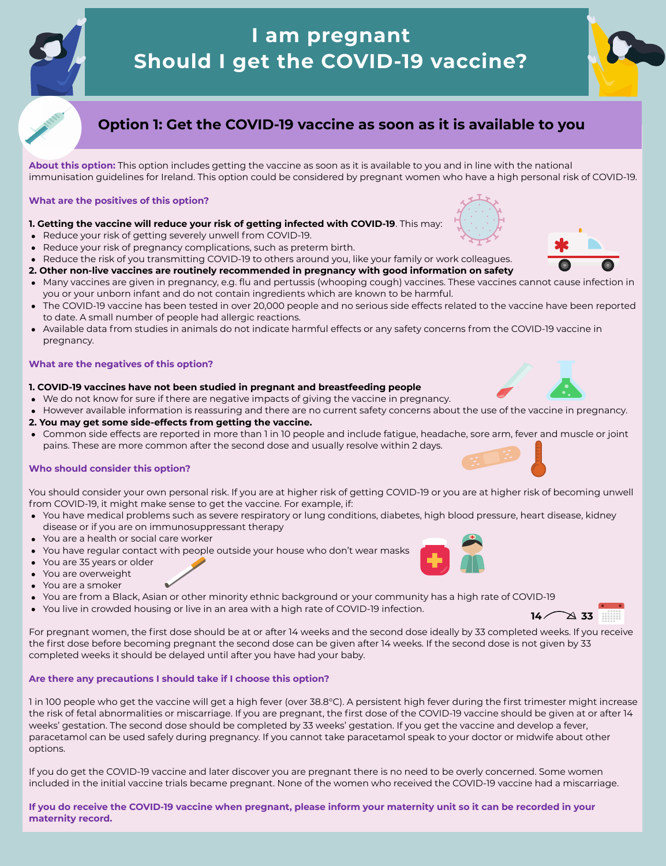

# **I am pregnant Should I get the COVID-19 vaccine?**

**About this option:** This option includes getting the vaccine as soon as it is available to you and in line with the national immunisation guidelines for Ireland. This option could be considered by pregnant women who have a high personal risk of COVID-19.

#### **What are the positives of this option?**

#### **1. Getting the vaccine will reduce your risk of getting infected with COVID-19**. This may:

- Reduce your risk of getting severely unwell from COVID-19.
- Reduce your risk of pregnancy complications, such as preterm birth.  $\bullet$
- Reduce the risk of you transmitting COVID-19 to others around you, like your family or work colleagues.  $\bullet$
- **2. Other non-live vaccines are routinely recommended in pregnancy with good information on safety**
- Many vaccines are given in pregnancy, e.g. flu and pertussis (whooping cough) vaccines. These vaccines cannot cause infection in  $\bullet$ you or your unborn infant and do not contain ingredients which are known to be harmful.
- The COVID-19 vaccine has been tested in over 20,000 people and no serious side effects related to the vaccine have been reported  $\bullet$ to date. A small number of people had allergic reactions.
- Available data from studies in animals do not indicate harmful effects or any safety concerns from the COVID-19 vaccine in



pregnancy.

### **What are the negatives of this option?**

### **1. COVID-19 vaccines have not been studied in pregnant and breastfeeding people**

- We do not know for sure if there are negative impacts of giving the vaccine in pregnancy.  $\bullet$
- However available information is reassuring and there are no current safety concerns about the use of the vaccine in pregnancy.  $\bullet$
- **2. You may get some side-effects from getting the vaccine.**
- Common side effects are reported in more than 1 in 10 people and include fatigue, headache, sore arm, fever and muscle or joint  $\bullet$ pains. These are more common after the second dose and usually resolve within 2 days.

If you do get the COVID-19 vaccine and later discover you are pregnant there is no need to be overly concerned. Some women included in the initial vaccine trials became pregnant. None of the women who received the COVID-19 vaccine had a miscarriage.

### **Who should consider this option?**

If you do receive the COVID-19 vaccine when pregnant, please inform your maternity unit so it can be recorded in your **maternity record.**

You should consider your own personal risk. If you are at higher risk of getting COVID-19 or you are at higher risk of becoming unwell from COVID-19, it might make sense to get the vaccine. For example, if:

- You have medical problems such as severe respiratory or lung conditions, diabetes, high blood pressure, heart disease, kidney disease or if you are on immunosuppressant therapy
- You are a health or social care worker  $\bullet$
- You have regular contact with people outside your house who don't wear masks  $\bullet$
- You are 35 years or older  $\bullet$
- You are overweight  $\bullet$
- You are a smoker  $\bullet$
- You are from a Black, Asian or other minority ethnic background or your community has a high rate of COVID-19
- You live in crowded housing or live in an area with a high rate of COVID-19 infection.

For pregnant women, the first dose should be at or after 14 weeks and the second dose ideally by 33 completed weeks. If you receive the first dose before becoming pregnant the second dose can be given after 14 weeks. If the second dose is not given by 33 completed weeks it should be delayed until after you have had your baby.





#### **Are there any precautions I should take if I choose this option?**

1 in 100 people who get the vaccine will get a high fever (over 38.8°C). A persistent high fever during the first trimester might increase the risk of fetal abnormalities or miscarriage. If you are pregnant, the first dose of the COVID-19 vaccine should be given at or after 14 weeks' gestation. The second dose should be completed by 33 weeks' gestation. If you get the vaccine and develop a fever, paracetamol can be used safely during pregnancy. If you cannot take paracetamol speak to your doctor or midwife about other options.



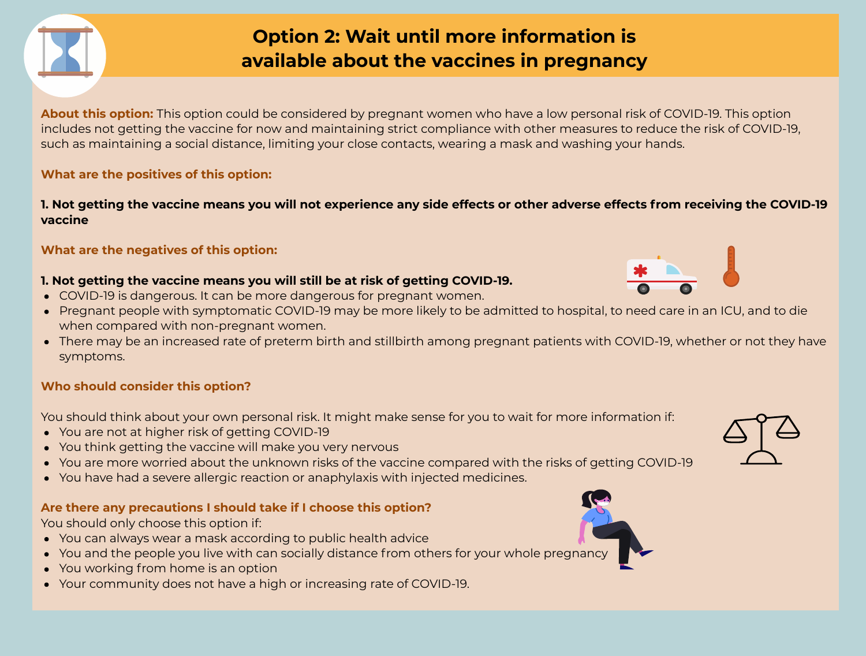## **Option 2: Wait until more information is available about the vaccines in pregnancy**

**About this option:** This option could be considered by pregnant women who have a low personal risk of COVID-19. This option includes not getting the vaccine for now and maintaining strict compliance with other measures to reduce the risk of COVID-19, such as maintaining a social distance, limiting your close contacts, wearing a mask and washing your hands.

### 1. Not getting the vaccine means you will not experience any side effects or other adverse effects from receiving the COVID-19 **vaccine**

### **What are the positives of this option:**

### **What are the negatives of this option:**

### **1. Not getting the vaccine means you will still be at risk of getting COVID-19.**

- COVID-19 is dangerous. It can be more dangerous for pregnant women.
- Pregnant people with symptomatic COVID-19 may be more likely to be admitted to hospital, to need care in an ICU, and to die when compared with non-pregnant women.
- symptoms.

There may be an increased rate of preterm birth and stillbirth among pregnant patients with COVID-19, whether or not they have







### **Who should consider this option?**

You should think about your own personal risk. It might make sense for you to wait for more information if:

- You are not at higher risk of getting COVID-19
- You think getting the vaccine will make you very nervous
- You are more worried about the unknown risks of the vaccine compared with the risks of getting COVID-19
- You have had a severe allergic reaction or anaphylaxis with injected medicines.

### **Are there any precautions I should take if I choose this option?**

You should only choose this option if:

- You can always wear a mask according to public health advice
- You and the people you live with can socially distance from others for your whole pregnancy
- You working from home is an option
- Your community does not have a high or increasing rate of COVID-19.